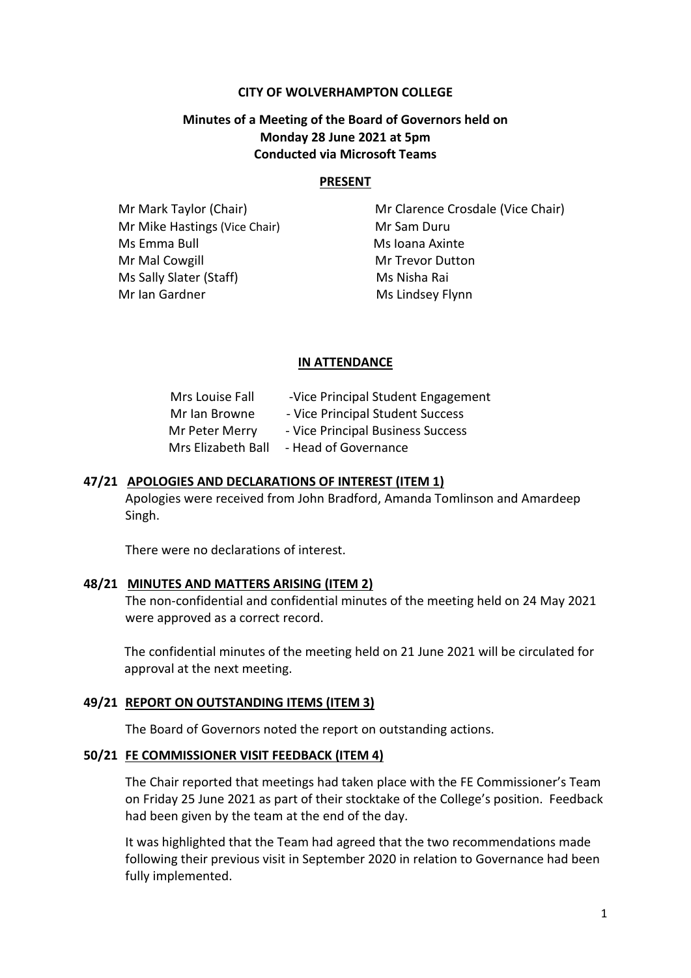#### **CITY OF WOLVERHAMPTON COLLEGE**

## **Minutes of a Meeting of the Board of Governors held on Monday 28 June 2021 at 5pm Conducted via Microsoft Teams**

#### **PRESENT**

Mr Mike Hastings (Vice Chair) Mr Sam Duru Ms Emma Bull Ms Ioana Axinte Mr Mal Cowgill Mr Trevor Dutton Ms Sally Slater (Staff) Ms Nisha Rai Mr Ian Gardner Ms Lindsey Flynn

**Mr Mark Taylor (Chair)** Mr Clarence Crosdale (Vice Chair)

#### **IN ATTENDANCE**

| Mrs Louise Fall    | -Vice Principal Student Engagement |
|--------------------|------------------------------------|
| Mr Ian Browne      | - Vice Principal Student Success   |
| Mr Peter Merry     | - Vice Principal Business Success  |
| Mrs Elizabeth Ball | - Head of Governance               |

#### **47/21 APOLOGIES AND DECLARATIONS OF INTEREST (ITEM 1)**

Apologies were received from John Bradford, Amanda Tomlinson and Amardeep Singh.

There were no declarations of interest.

#### **48/21 MINUTES AND MATTERS ARISING (ITEM 2)**

The non-confidential and confidential minutes of the meeting held on 24 May 2021 were approved as a correct record.

The confidential minutes of the meeting held on 21 June 2021 will be circulated for approval at the next meeting.

#### **49/21 REPORT ON OUTSTANDING ITEMS (ITEM 3)**

The Board of Governors noted the report on outstanding actions.

#### **50/21 FE COMMISSIONER VISIT FEEDBACK (ITEM 4)**

The Chair reported that meetings had taken place with the FE Commissioner's Team on Friday 25 June 2021 as part of their stocktake of the College's position. Feedback had been given by the team at the end of the day.

It was highlighted that the Team had agreed that the two recommendations made following their previous visit in September 2020 in relation to Governance had been fully implemented.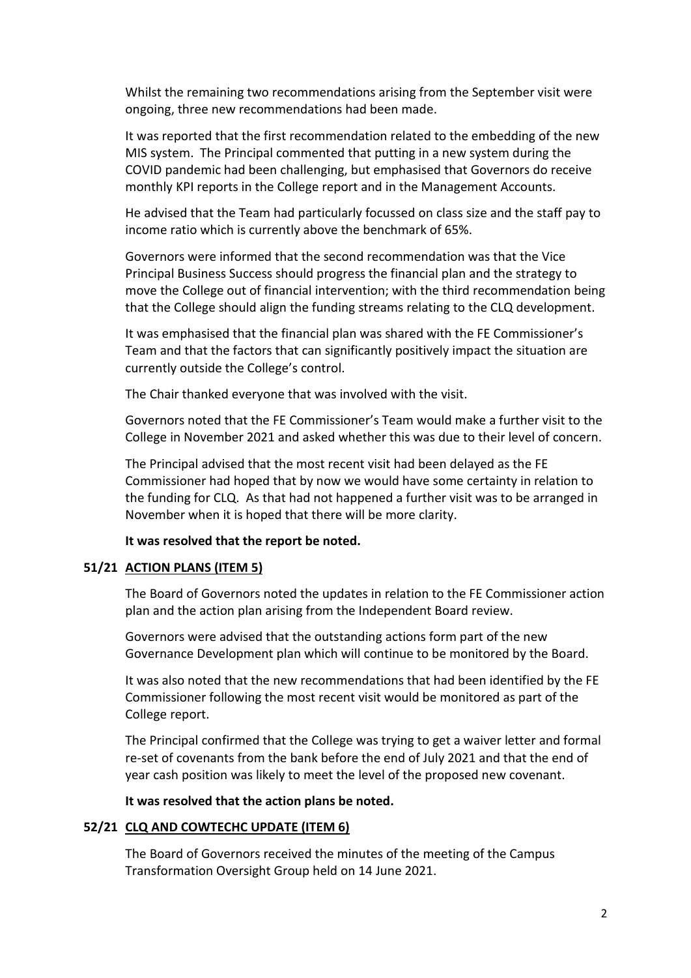Whilst the remaining two recommendations arising from the September visit were ongoing, three new recommendations had been made.

It was reported that the first recommendation related to the embedding of the new MIS system. The Principal commented that putting in a new system during the COVID pandemic had been challenging, but emphasised that Governors do receive monthly KPI reports in the College report and in the Management Accounts.

He advised that the Team had particularly focussed on class size and the staff pay to income ratio which is currently above the benchmark of 65%.

Governors were informed that the second recommendation was that the Vice Principal Business Success should progress the financial plan and the strategy to move the College out of financial intervention; with the third recommendation being that the College should align the funding streams relating to the CLQ development.

It was emphasised that the financial plan was shared with the FE Commissioner's Team and that the factors that can significantly positively impact the situation are currently outside the College's control.

The Chair thanked everyone that was involved with the visit.

Governors noted that the FE Commissioner's Team would make a further visit to the College in November 2021 and asked whether this was due to their level of concern.

The Principal advised that the most recent visit had been delayed as the FE Commissioner had hoped that by now we would have some certainty in relation to the funding for CLQ. As that had not happened a further visit was to be arranged in November when it is hoped that there will be more clarity.

#### **It was resolved that the report be noted.**

#### **51/21 ACTION PLANS (ITEM 5)**

The Board of Governors noted the updates in relation to the FE Commissioner action plan and the action plan arising from the Independent Board review.

Governors were advised that the outstanding actions form part of the new Governance Development plan which will continue to be monitored by the Board.

It was also noted that the new recommendations that had been identified by the FE Commissioner following the most recent visit would be monitored as part of the College report.

The Principal confirmed that the College was trying to get a waiver letter and formal re-set of covenants from the bank before the end of July 2021 and that the end of year cash position was likely to meet the level of the proposed new covenant.

#### **It was resolved that the action plans be noted.**

#### **52/21 CLQ AND COWTECHC UPDATE (ITEM 6)**

The Board of Governors received the minutes of the meeting of the Campus Transformation Oversight Group held on 14 June 2021.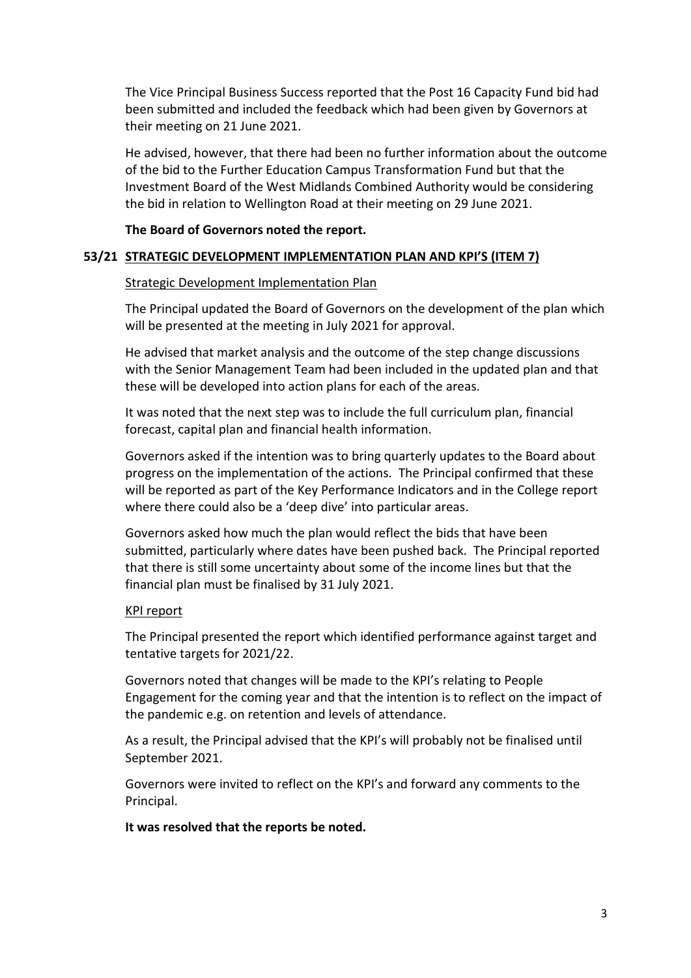The Vice Principal Business Success reported that the Post 16 Capacity Fund bid had been submitted and included the feedback which had been given by Governors at their meeting on 21 June 2021.

He advised, however, that there had been no further information about the outcome of the bid to the Further Education Campus Transformation Fund but that the Investment Board of the West Midlands Combined Authority would be considering the bid in relation to Wellington Road at their meeting on 29 June 2021.

#### **The Board of Governors noted the report.**

#### **53/21 STRATEGIC DEVELOPMENT IMPLEMENTATION PLAN AND KPI'S (ITEM 7)**

#### Strategic Development Implementation Plan

The Principal updated the Board of Governors on the development of the plan which will be presented at the meeting in July 2021 for approval.

He advised that market analysis and the outcome of the step change discussions with the Senior Management Team had been included in the updated plan and that these will be developed into action plans for each of the areas.

It was noted that the next step was to include the full curriculum plan, financial forecast, capital plan and financial health information.

Governors asked if the intention was to bring quarterly updates to the Board about progress on the implementation of the actions. The Principal confirmed that these will be reported as part of the Key Performance Indicators and in the College report where there could also be a 'deep dive' into particular areas.

Governors asked how much the plan would reflect the bids that have been submitted, particularly where dates have been pushed back. The Principal reported that there is still some uncertainty about some of the income lines but that the financial plan must be finalised by 31 July 2021.

#### KPI report

The Principal presented the report which identified performance against target and tentative targets for 2021/22.

Governors noted that changes will be made to the KPI's relating to People Engagement for the coming year and that the intention is to reflect on the impact of the pandemic e.g. on retention and levels of attendance.

As a result, the Principal advised that the KPI's will probably not be finalised until September 2021.

Governors were invited to reflect on the KPI's and forward any comments to the Principal.

**It was resolved that the reports be noted.**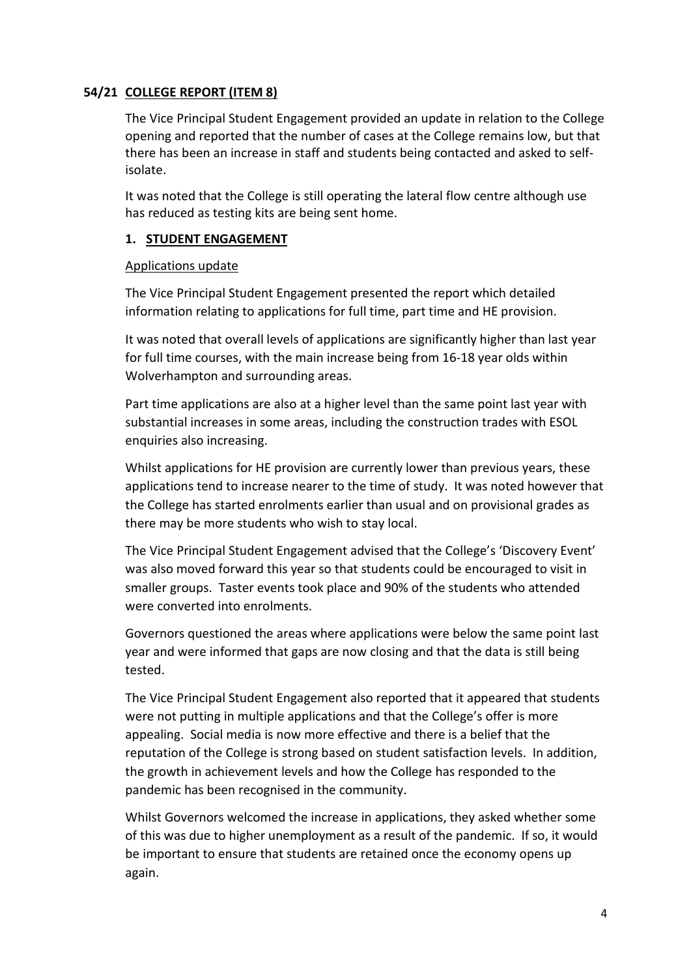## **54/21 COLLEGE REPORT (ITEM 8)**

The Vice Principal Student Engagement provided an update in relation to the College opening and reported that the number of cases at the College remains low, but that there has been an increase in staff and students being contacted and asked to selfisolate.

It was noted that the College is still operating the lateral flow centre although use has reduced as testing kits are being sent home.

#### **1. STUDENT ENGAGEMENT**

#### Applications update

The Vice Principal Student Engagement presented the report which detailed information relating to applications for full time, part time and HE provision.

It was noted that overall levels of applications are significantly higher than last year for full time courses, with the main increase being from 16-18 year olds within Wolverhampton and surrounding areas.

Part time applications are also at a higher level than the same point last year with substantial increases in some areas, including the construction trades with ESOL enquiries also increasing.

Whilst applications for HE provision are currently lower than previous years, these applications tend to increase nearer to the time of study. It was noted however that the College has started enrolments earlier than usual and on provisional grades as there may be more students who wish to stay local.

The Vice Principal Student Engagement advised that the College's 'Discovery Event' was also moved forward this year so that students could be encouraged to visit in smaller groups. Taster events took place and 90% of the students who attended were converted into enrolments.

Governors questioned the areas where applications were below the same point last year and were informed that gaps are now closing and that the data is still being tested.

The Vice Principal Student Engagement also reported that it appeared that students were not putting in multiple applications and that the College's offer is more appealing. Social media is now more effective and there is a belief that the reputation of the College is strong based on student satisfaction levels. In addition, the growth in achievement levels and how the College has responded to the pandemic has been recognised in the community.

Whilst Governors welcomed the increase in applications, they asked whether some of this was due to higher unemployment as a result of the pandemic. If so, it would be important to ensure that students are retained once the economy opens up again.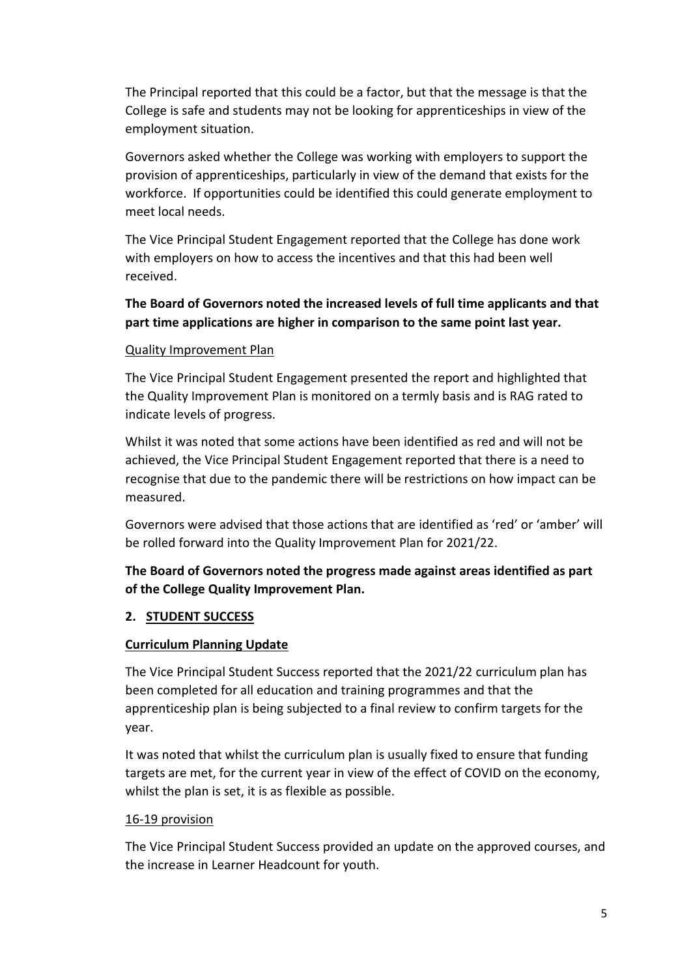The Principal reported that this could be a factor, but that the message is that the College is safe and students may not be looking for apprenticeships in view of the employment situation.

Governors asked whether the College was working with employers to support the provision of apprenticeships, particularly in view of the demand that exists for the workforce. If opportunities could be identified this could generate employment to meet local needs.

The Vice Principal Student Engagement reported that the College has done work with employers on how to access the incentives and that this had been well received.

# **The Board of Governors noted the increased levels of full time applicants and that part time applications are higher in comparison to the same point last year.**

## Quality Improvement Plan

The Vice Principal Student Engagement presented the report and highlighted that the Quality Improvement Plan is monitored on a termly basis and is RAG rated to indicate levels of progress.

Whilst it was noted that some actions have been identified as red and will not be achieved, the Vice Principal Student Engagement reported that there is a need to recognise that due to the pandemic there will be restrictions on how impact can be measured.

Governors were advised that those actions that are identified as 'red' or 'amber' will be rolled forward into the Quality Improvement Plan for 2021/22.

# **The Board of Governors noted the progress made against areas identified as part of the College Quality Improvement Plan.**

## **2. STUDENT SUCCESS**

## **Curriculum Planning Update**

The Vice Principal Student Success reported that the 2021/22 curriculum plan has been completed for all education and training programmes and that the apprenticeship plan is being subjected to a final review to confirm targets for the year.

It was noted that whilst the curriculum plan is usually fixed to ensure that funding targets are met, for the current year in view of the effect of COVID on the economy, whilst the plan is set, it is as flexible as possible.

#### 16-19 provision

The Vice Principal Student Success provided an update on the approved courses, and the increase in Learner Headcount for youth.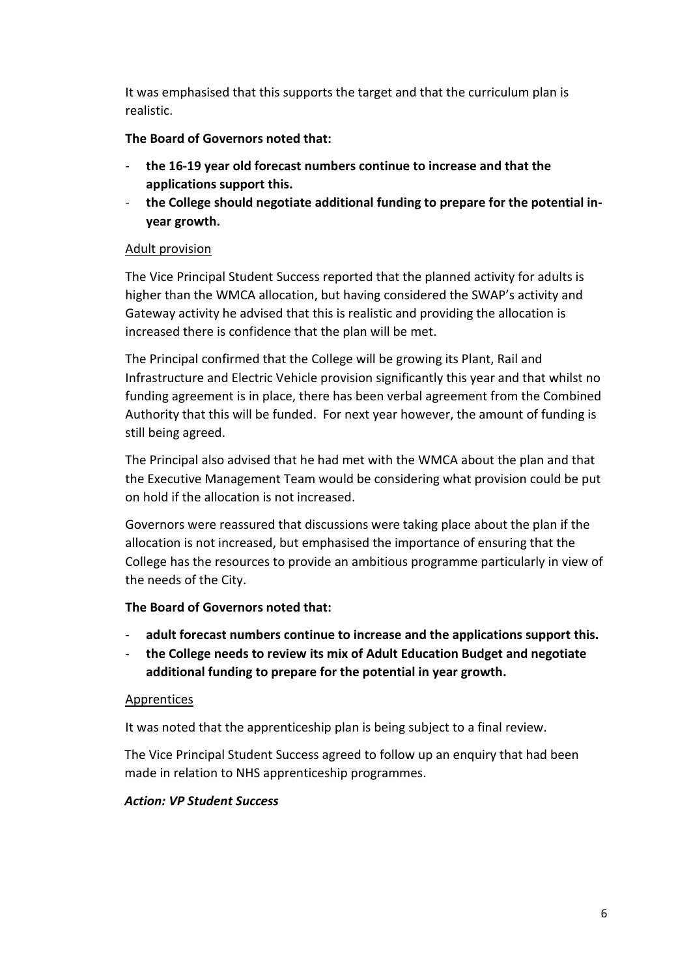It was emphasised that this supports the target and that the curriculum plan is realistic.

## **The Board of Governors noted that:**

- **the 16-19 year old forecast numbers continue to increase and that the applications support this.**
- the College should negotiate additional funding to prepare for the potential in**year growth.**

## Adult provision

The Vice Principal Student Success reported that the planned activity for adults is higher than the WMCA allocation, but having considered the SWAP's activity and Gateway activity he advised that this is realistic and providing the allocation is increased there is confidence that the plan will be met.

The Principal confirmed that the College will be growing its Plant, Rail and Infrastructure and Electric Vehicle provision significantly this year and that whilst no funding agreement is in place, there has been verbal agreement from the Combined Authority that this will be funded. For next year however, the amount of funding is still being agreed.

The Principal also advised that he had met with the WMCA about the plan and that the Executive Management Team would be considering what provision could be put on hold if the allocation is not increased.

Governors were reassured that discussions were taking place about the plan if the allocation is not increased, but emphasised the importance of ensuring that the College has the resources to provide an ambitious programme particularly in view of the needs of the City.

## **The Board of Governors noted that:**

- **adult forecast numbers continue to increase and the applications support this.**
- **the College needs to review its mix of Adult Education Budget and negotiate additional funding to prepare for the potential in year growth.**

## Apprentices

It was noted that the apprenticeship plan is being subject to a final review.

The Vice Principal Student Success agreed to follow up an enquiry that had been made in relation to NHS apprenticeship programmes.

## *Action: VP Student Success*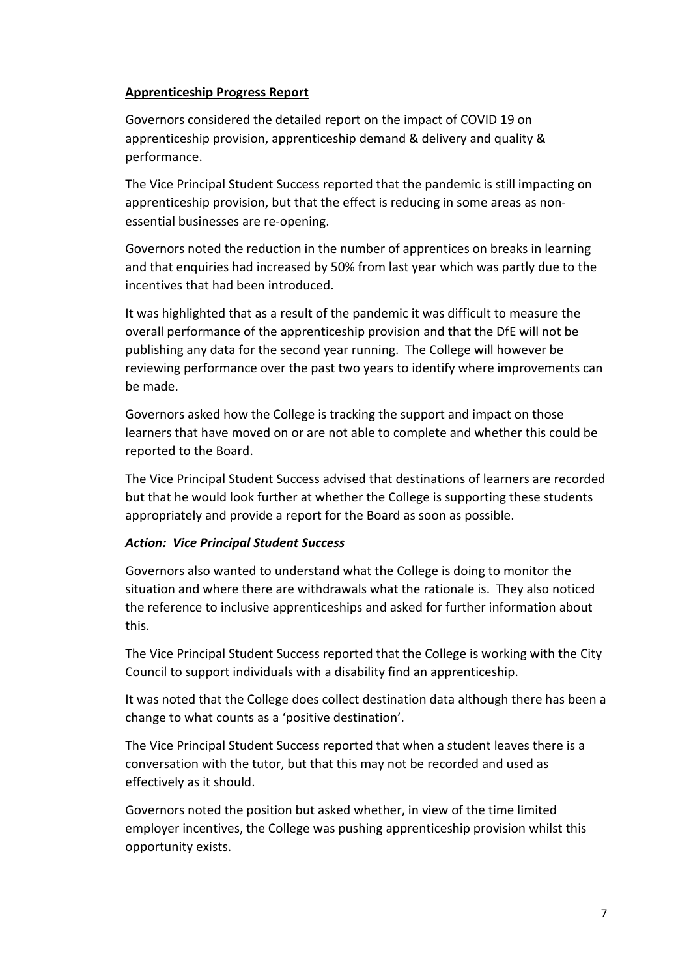#### **Apprenticeship Progress Report**

Governors considered the detailed report on the impact of COVID 19 on apprenticeship provision, apprenticeship demand & delivery and quality & performance.

The Vice Principal Student Success reported that the pandemic is still impacting on apprenticeship provision, but that the effect is reducing in some areas as nonessential businesses are re-opening.

Governors noted the reduction in the number of apprentices on breaks in learning and that enquiries had increased by 50% from last year which was partly due to the incentives that had been introduced.

It was highlighted that as a result of the pandemic it was difficult to measure the overall performance of the apprenticeship provision and that the DfE will not be publishing any data for the second year running. The College will however be reviewing performance over the past two years to identify where improvements can be made.

Governors asked how the College is tracking the support and impact on those learners that have moved on or are not able to complete and whether this could be reported to the Board.

The Vice Principal Student Success advised that destinations of learners are recorded but that he would look further at whether the College is supporting these students appropriately and provide a report for the Board as soon as possible.

## *Action: Vice Principal Student Success*

Governors also wanted to understand what the College is doing to monitor the situation and where there are withdrawals what the rationale is. They also noticed the reference to inclusive apprenticeships and asked for further information about this.

The Vice Principal Student Success reported that the College is working with the City Council to support individuals with a disability find an apprenticeship.

It was noted that the College does collect destination data although there has been a change to what counts as a 'positive destination'.

The Vice Principal Student Success reported that when a student leaves there is a conversation with the tutor, but that this may not be recorded and used as effectively as it should.

Governors noted the position but asked whether, in view of the time limited employer incentives, the College was pushing apprenticeship provision whilst this opportunity exists.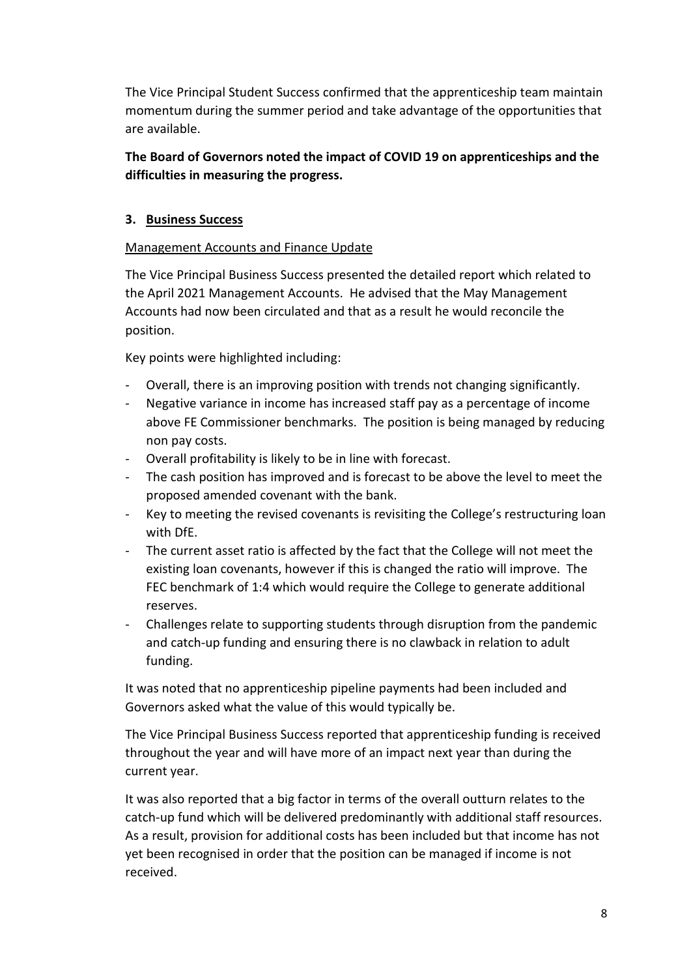The Vice Principal Student Success confirmed that the apprenticeship team maintain momentum during the summer period and take advantage of the opportunities that are available.

# **The Board of Governors noted the impact of COVID 19 on apprenticeships and the difficulties in measuring the progress.**

## **3. Business Success**

## Management Accounts and Finance Update

The Vice Principal Business Success presented the detailed report which related to the April 2021 Management Accounts. He advised that the May Management Accounts had now been circulated and that as a result he would reconcile the position.

Key points were highlighted including:

- Overall, there is an improving position with trends not changing significantly.
- Negative variance in income has increased staff pay as a percentage of income above FE Commissioner benchmarks. The position is being managed by reducing non pay costs.
- Overall profitability is likely to be in line with forecast.
- The cash position has improved and is forecast to be above the level to meet the proposed amended covenant with the bank.
- Key to meeting the revised covenants is revisiting the College's restructuring loan with DfE.
- The current asset ratio is affected by the fact that the College will not meet the existing loan covenants, however if this is changed the ratio will improve. The FEC benchmark of 1:4 which would require the College to generate additional reserves.
- Challenges relate to supporting students through disruption from the pandemic and catch-up funding and ensuring there is no clawback in relation to adult funding.

It was noted that no apprenticeship pipeline payments had been included and Governors asked what the value of this would typically be.

The Vice Principal Business Success reported that apprenticeship funding is received throughout the year and will have more of an impact next year than during the current year.

It was also reported that a big factor in terms of the overall outturn relates to the catch-up fund which will be delivered predominantly with additional staff resources. As a result, provision for additional costs has been included but that income has not yet been recognised in order that the position can be managed if income is not received.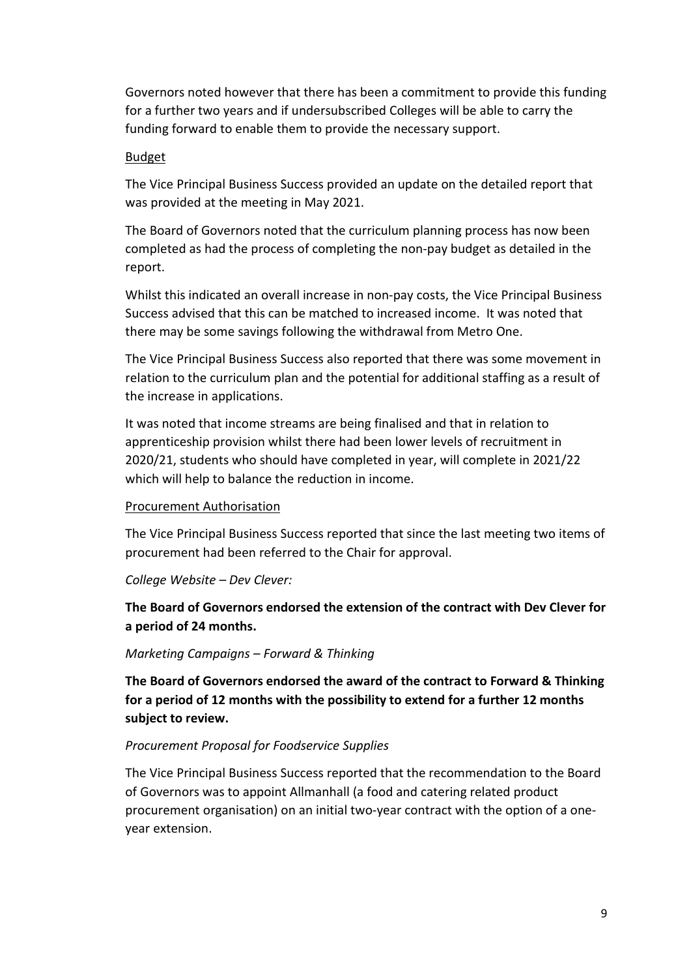Governors noted however that there has been a commitment to provide this funding for a further two years and if undersubscribed Colleges will be able to carry the funding forward to enable them to provide the necessary support.

#### Budget

The Vice Principal Business Success provided an update on the detailed report that was provided at the meeting in May 2021.

The Board of Governors noted that the curriculum planning process has now been completed as had the process of completing the non-pay budget as detailed in the report.

Whilst this indicated an overall increase in non-pay costs, the Vice Principal Business Success advised that this can be matched to increased income. It was noted that there may be some savings following the withdrawal from Metro One.

The Vice Principal Business Success also reported that there was some movement in relation to the curriculum plan and the potential for additional staffing as a result of the increase in applications.

It was noted that income streams are being finalised and that in relation to apprenticeship provision whilst there had been lower levels of recruitment in 2020/21, students who should have completed in year, will complete in 2021/22 which will help to balance the reduction in income.

## Procurement Authorisation

The Vice Principal Business Success reported that since the last meeting two items of procurement had been referred to the Chair for approval.

## *College Website – Dev Clever:*

**The Board of Governors endorsed the extension of the contract with Dev Clever for a period of 24 months.**

#### *Marketing Campaigns – Forward & Thinking*

**The Board of Governors endorsed the award of the contract to Forward & Thinking for a period of 12 months with the possibility to extend for a further 12 months subject to review.**

## *Procurement Proposal for Foodservice Supplies*

The Vice Principal Business Success reported that the recommendation to the Board of Governors was to appoint Allmanhall (a food and catering related product procurement organisation) on an initial two-year contract with the option of a oneyear extension.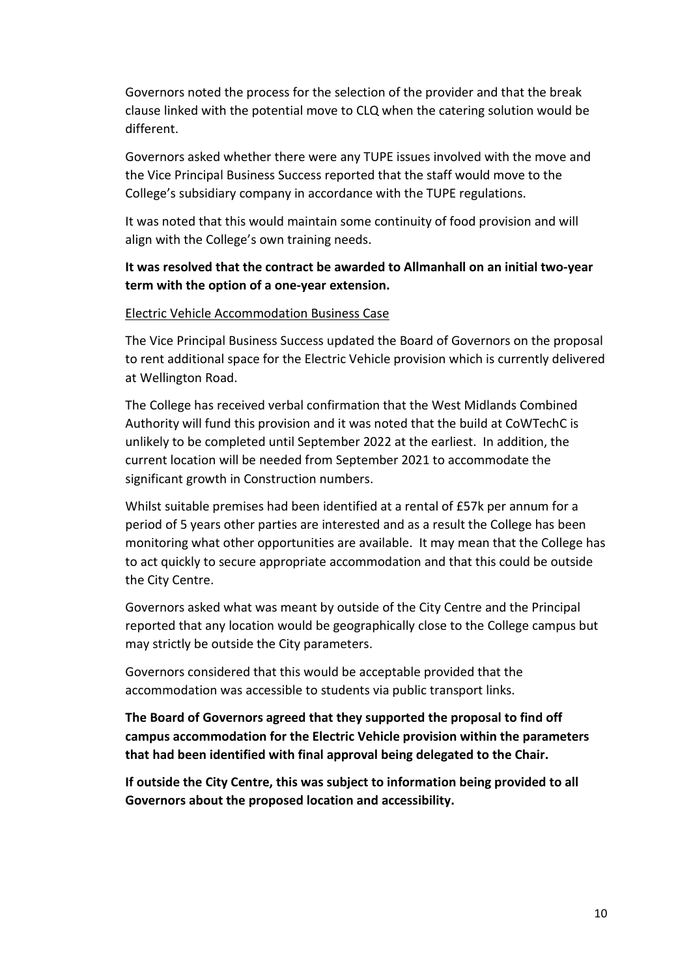Governors noted the process for the selection of the provider and that the break clause linked with the potential move to CLQ when the catering solution would be different.

Governors asked whether there were any TUPE issues involved with the move and the Vice Principal Business Success reported that the staff would move to the College's subsidiary company in accordance with the TUPE regulations.

It was noted that this would maintain some continuity of food provision and will align with the College's own training needs.

## **It was resolved that the contract be awarded to Allmanhall on an initial two-year term with the option of a one-year extension.**

#### Electric Vehicle Accommodation Business Case

The Vice Principal Business Success updated the Board of Governors on the proposal to rent additional space for the Electric Vehicle provision which is currently delivered at Wellington Road.

The College has received verbal confirmation that the West Midlands Combined Authority will fund this provision and it was noted that the build at CoWTechC is unlikely to be completed until September 2022 at the earliest. In addition, the current location will be needed from September 2021 to accommodate the significant growth in Construction numbers.

Whilst suitable premises had been identified at a rental of £57k per annum for a period of 5 years other parties are interested and as a result the College has been monitoring what other opportunities are available. It may mean that the College has to act quickly to secure appropriate accommodation and that this could be outside the City Centre.

Governors asked what was meant by outside of the City Centre and the Principal reported that any location would be geographically close to the College campus but may strictly be outside the City parameters.

Governors considered that this would be acceptable provided that the accommodation was accessible to students via public transport links.

**The Board of Governors agreed that they supported the proposal to find off campus accommodation for the Electric Vehicle provision within the parameters that had been identified with final approval being delegated to the Chair.** 

**If outside the City Centre, this was subject to information being provided to all Governors about the proposed location and accessibility.**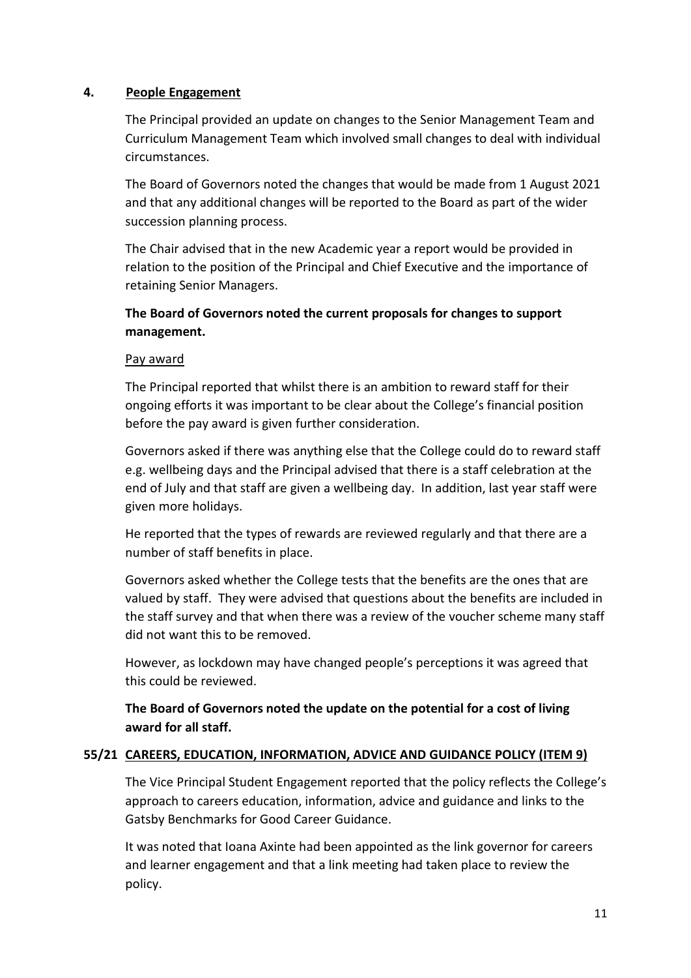#### **4. People Engagement**

The Principal provided an update on changes to the Senior Management Team and Curriculum Management Team which involved small changes to deal with individual circumstances.

The Board of Governors noted the changes that would be made from 1 August 2021 and that any additional changes will be reported to the Board as part of the wider succession planning process.

The Chair advised that in the new Academic year a report would be provided in relation to the position of the Principal and Chief Executive and the importance of retaining Senior Managers.

# **The Board of Governors noted the current proposals for changes to support management.**

#### Pay award

The Principal reported that whilst there is an ambition to reward staff for their ongoing efforts it was important to be clear about the College's financial position before the pay award is given further consideration.

Governors asked if there was anything else that the College could do to reward staff e.g. wellbeing days and the Principal advised that there is a staff celebration at the end of July and that staff are given a wellbeing day. In addition, last year staff were given more holidays.

He reported that the types of rewards are reviewed regularly and that there are a number of staff benefits in place.

Governors asked whether the College tests that the benefits are the ones that are valued by staff. They were advised that questions about the benefits are included in the staff survey and that when there was a review of the voucher scheme many staff did not want this to be removed.

However, as lockdown may have changed people's perceptions it was agreed that this could be reviewed.

## **The Board of Governors noted the update on the potential for a cost of living award for all staff.**

#### **55/21 CAREERS, EDUCATION, INFORMATION, ADVICE AND GUIDANCE POLICY (ITEM 9)**

The Vice Principal Student Engagement reported that the policy reflects the College's approach to careers education, information, advice and guidance and links to the Gatsby Benchmarks for Good Career Guidance.

It was noted that Ioana Axinte had been appointed as the link governor for careers and learner engagement and that a link meeting had taken place to review the policy.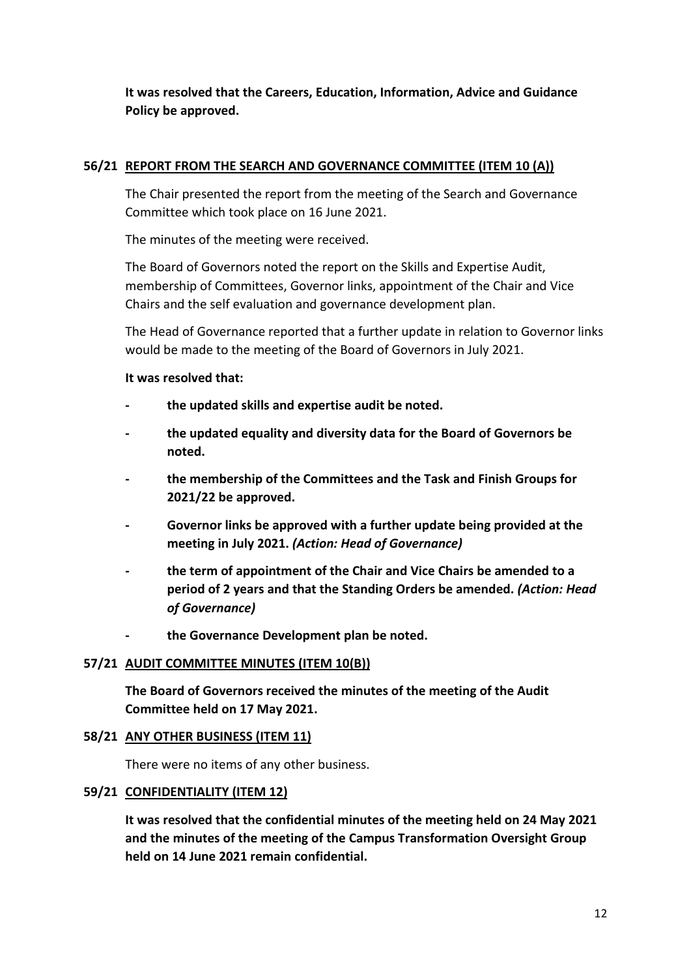**It was resolved that the Careers, Education, Information, Advice and Guidance Policy be approved.**

#### **56/21 REPORT FROM THE SEARCH AND GOVERNANCE COMMITTEE (ITEM 10 (A))**

The Chair presented the report from the meeting of the Search and Governance Committee which took place on 16 June 2021.

The minutes of the meeting were received.

The Board of Governors noted the report on the Skills and Expertise Audit, membership of Committees, Governor links, appointment of the Chair and Vice Chairs and the self evaluation and governance development plan.

The Head of Governance reported that a further update in relation to Governor links would be made to the meeting of the Board of Governors in July 2021.

**It was resolved that:**

- **- the updated skills and expertise audit be noted.**
- **- the updated equality and diversity data for the Board of Governors be noted.**
- **- the membership of the Committees and the Task and Finish Groups for 2021/22 be approved.**
- **- Governor links be approved with a further update being provided at the meeting in July 2021.** *(Action: Head of Governance)*
- **- the term of appointment of the Chair and Vice Chairs be amended to a period of 2 years and that the Standing Orders be amended.** *(Action: Head of Governance)*
- **- the Governance Development plan be noted.**

## **57/21 AUDIT COMMITTEE MINUTES (ITEM 10(B))**

**The Board of Governors received the minutes of the meeting of the Audit Committee held on 17 May 2021.**

## **58/21 ANY OTHER BUSINESS (ITEM 11)**

There were no items of any other business.

#### **59/21 CONFIDENTIALITY (ITEM 12)**

**It was resolved that the confidential minutes of the meeting held on 24 May 2021 and the minutes of the meeting of the Campus Transformation Oversight Group held on 14 June 2021 remain confidential.**